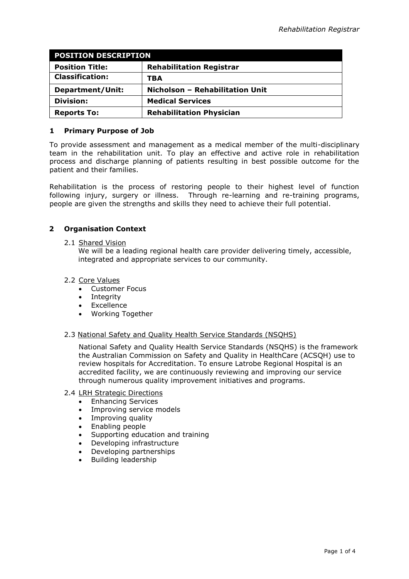| <b>POSITION DESCRIPTION</b> |                                 |
|-----------------------------|---------------------------------|
| <b>Position Title:</b>      | <b>Rehabilitation Registrar</b> |
| <b>Classification:</b>      | TBA                             |
| <b>Department/Unit:</b>     | Nicholson - Rehabilitation Unit |
| <b>Division:</b>            | <b>Medical Services</b>         |
| <b>Reports To:</b>          | <b>Rehabilitation Physician</b> |

### **1 Primary Purpose of Job**

To provide assessment and management as a medical member of the multi-disciplinary team in the rehabilitation unit. To play an effective and active role in rehabilitation process and discharge planning of patients resulting in best possible outcome for the patient and their families.

Rehabilitation is the process of restoring people to their highest level of function following injury, surgery or illness. Through re-learning and re-training programs, people are given the strengths and skills they need to achieve their full potential.

# **2 Organisation Context**

2.1 Shared Vision

We will be a leading regional health care provider delivering timely, accessible, integrated and appropriate services to our community.

# 2.2 Core Values

- Customer Focus
- Integrity
- Excellence
- Working Together

### 2.3 National Safety and Quality Health Service Standards (NSQHS)

National Safety and Quality Health Service Standards (NSQHS) is the framework the Australian Commission on Safety and Quality in HealthCare (ACSQH) use to review hospitals for Accreditation. To ensure Latrobe Regional Hospital is an accredited facility, we are continuously reviewing and improving our service through numerous quality improvement initiatives and programs.

### 2.4 LRH Strategic Directions

- **•** Enhancing Services
- Improving service models
- Improving quality
- Enabling people
- Supporting education and training
- Developing infrastructure
- Developing partnerships
- Building leadership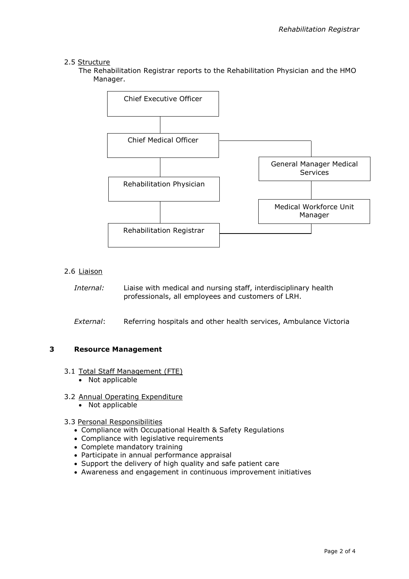# 2.5 Structure

The Rehabilitation Registrar reports to the Rehabilitation Physician and the HMO Manager.



### 2.6 Liaison

*Internal:* Liaise with medical and nursing staff, interdisciplinary health professionals, all employees and customers of LRH.

*External*: Referring hospitals and other health services, Ambulance Victoria

# **3 Resource Management**

- 3.1 Total Staff Management (FTE)
	- Not applicable
- 3.2 Annual Operating Expenditure
	- Not applicable
- 3.3 Personal Responsibilities
	- Compliance with Occupational Health & Safety Regulations
	- Compliance with legislative requirements
	- Complete mandatory training
	- Participate in annual performance appraisal
	- Support the delivery of high quality and safe patient care
	- Awareness and engagement in continuous improvement initiatives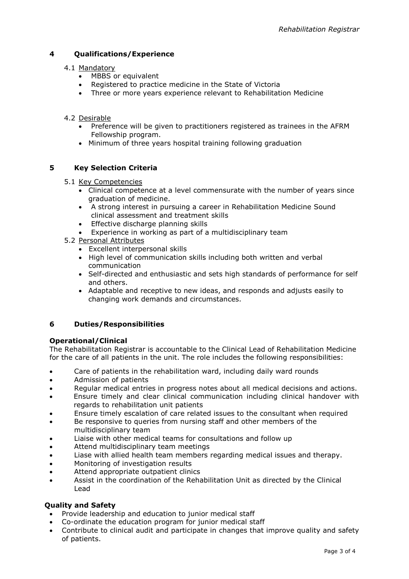# **4 Qualifications/Experience**

### 4.1 Mandatory

- MBBS or equivalent
- Registered to practice medicine in the State of Victoria
- Three or more years experience relevant to Rehabilitation Medicine

### 4.2 Desirable

- Preference will be given to practitioners registered as trainees in the AFRM Fellowship program.
- Minimum of three years hospital training following graduation

# **5 Key Selection Criteria**

### 5.1 Key Competencies

- Clinical competence at a level commensurate with the number of years since graduation of medicine.
- A strong interest in pursuing a career in Rehabilitation Medicine Sound clinical assessment and treatment skills
- Effective discharge planning skills
- Experience in working as part of a multidisciplinary team
- 5.2 Personal Attributes
	- Excellent interpersonal skills
	- High level of communication skills including both written and verbal communication
	- Self-directed and enthusiastic and sets high standards of performance for self and others.
	- Adaptable and receptive to new ideas, and responds and adjusts easily to changing work demands and circumstances.

# **6 Duties/Responsibilities**

### **Operational/Clinical**

The Rehabilitation Registrar is accountable to the Clinical Lead of Rehabilitation Medicine for the care of all patients in the unit. The role includes the following responsibilities:

- Care of patients in the rehabilitation ward, including daily ward rounds
- Admission of patients
- Regular medical entries in progress notes about all medical decisions and actions.
- Ensure timely and clear clinical communication including clinical handover with regards to rehabilitation unit patients
- Ensure timely escalation of care related issues to the consultant when required
- Be responsive to queries from nursing staff and other members of the multidisciplinary team
- Liaise with other medical teams for consultations and follow up
- Attend multidisciplinary team meetings
- Liase with allied health team members regarding medical issues and therapy.
- Monitoring of investigation results
- Attend appropriate outpatient clinics
- Assist in the coordination of the Rehabilitation Unit as directed by the Clinical Lead

# **Quality and Safety**

- Provide leadership and education to junior medical staff
- Co-ordinate the education program for junior medical staff
- Contribute to clinical audit and participate in changes that improve quality and safety of patients.